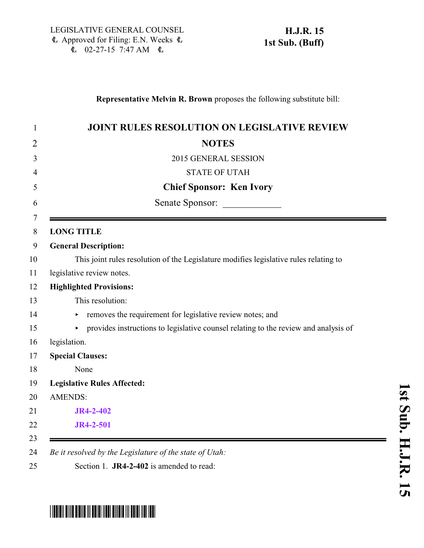## **Representative Melvin R. Brown** proposes the following substitute bill:

| <b>JOINT RULES RESOLUTION ON LEGISLATIVE REVIEW</b>                                   |
|---------------------------------------------------------------------------------------|
| <b>NOTES</b>                                                                          |
| 2015 GENERAL SESSION                                                                  |
| <b>STATE OF UTAH</b>                                                                  |
| <b>Chief Sponsor: Ken Ivory</b>                                                       |
| Senate Sponsor:                                                                       |
| <b>LONG TITLE</b>                                                                     |
| <b>General Description:</b>                                                           |
| This joint rules resolution of the Legislature modifies legislative rules relating to |
| legislative review notes.                                                             |
| <b>Highlighted Provisions:</b>                                                        |
| This resolution:                                                                      |
| removes the requirement for legislative review notes; and<br>Þ.                       |
| • provides instructions to legislative counsel relating to the review and analysis of |
| legislation.                                                                          |
| <b>Special Clauses:</b>                                                               |
| None                                                                                  |
| <b>Legislative Rules Affected:</b>                                                    |
| <b>AMENDS:</b>                                                                        |
| JR4-2-402                                                                             |
| JR4-2-501                                                                             |

## **s t S u b. H.J.R.**

 $\overline{\phantom{0}}$ 

## <span id="page-0-0"></span>\*HJR015S01\*